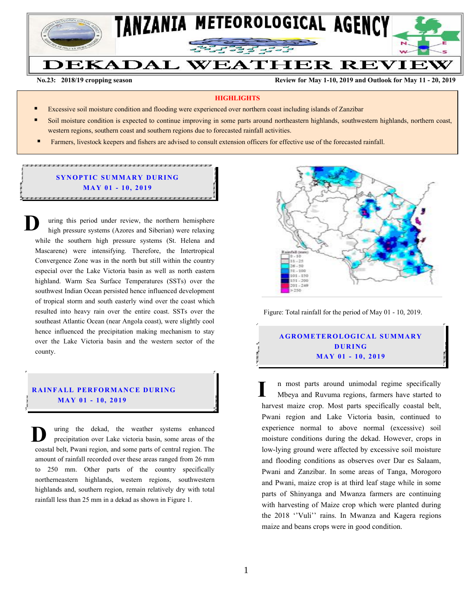

**No.23: 2018/19 cropping season Review for May 1-10, 2019 and Outlook for May 11 - 20, 2019** 

#### **HIGHLIGHTS**

- Excessive soil moisture condition and flooding were experienced over northern coast including islands of Zanzibar
- Soil moisture condition is expected to continue improving in some parts around northeastern highlands, southwestern highlands, northern coast, western regions, southern coast and southern regions due to forecasted rainfall activities.
- Farmers, livestock keepers and fishers are advised to consult extension officers for effective use of the forecasted rainfall.

### **SYNOPTIC SUMMARY DURING MA Y 0 1 - 10, 201 9**

.<br>הוא רשוב הוא רשוב הוא רשוב הוא רשוב הוא רשוב הוא רשוב הוא רשוב הוא רשוב הוא רשוב הוא רשוב הוא רשוב הוא רשוב הא

uring this period under review, the northern hemisphere high pressure systems (Azores and Siberian) were relaxing while the southern high pressure systems (St. Helena and Mascarene) were intensifying. Therefore, the Intertropical Convergence Zone was in the north but still within the country especial over the Lake Victoria basin as well as north eastern highland. Warm Sea Surface Temperatures (SSTs) over the southwest Indian Ocean persisted hence influenced development of tropical storm and south easterly wind over the coast which resulted into heavy rain over the entire coast. SSTs over the southeast Atlantic Ocean (near Angola coast), were slightly cool hence influenced the precipitation making mechanism to stay over the Lake Victoria basin and the western sector of the county. **D**

#### **RAINFALL PERFORMANCE DURING MA Y 0 1 - 10, 201 9**

uring the dekad, the weather systems enhanced precipitation over Lake victoria basin, some areas of the coastal belt, Pwani region, and some parts of central region. The amount of rainfall recorded over these areas ranged from 26 mm to 250 mm. Other parts of the country specifically northerneastern highlands, western regions, southwestern highlands and, southern region, remain relatively dry with total rainfall less than 25 mm in a dekad as shown in Figure 1. **D**



Figure: Total rainfall for the period of May 01 - 10, 2019.

# **A G RO METER O LO G IC AL SU MMAR Y D UR ING MA Y 01 - 10, 2019**

n most parts around unimodal regime specifically Mbeya and Ruvuma regions, farmers have started to harvest maize crop. Most parts specifically coastal belt, Pwani region and Lake Victoria basin, continued to experience normal to above normal (excessive) soil moisture conditions during the dekad. However, crops in low-lying ground were affected by excessive soil moisture and flooding conditions as observes over Dar es Salaam, Pwani and Zanzibar. In some areas of Tanga, Morogoro and Pwani, maize crop is at third leaf stage while in some parts of Shinyanga and Mwanza farmers are continuing with harvesting of Maize crop which were planted during the 2018 ''Vuli'' rains. In Mwanza and Kagera regions maize and beans crops were in good condition. **I**